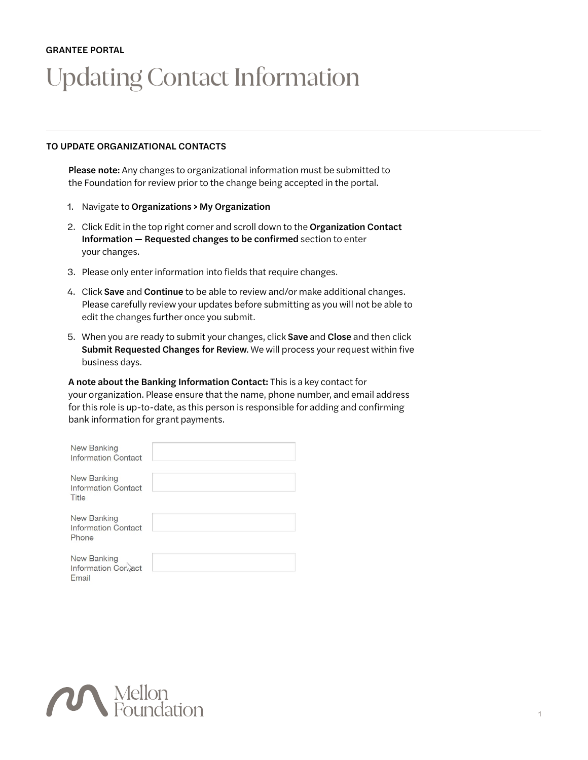## GRANTEE PORTAL Updating Contact Information

## TO UPDATE ORGANIZATIONAL CONTACTS

Please note: Any changes to organizational information must be submitted to the Foundation for review prior to the change being accepted in the portal.

- 1. Navigate to Organizations > My Organization
- 2. Click Edit in the top right corner and scroll down to the Organization Contact Information — Requested changes to be confirmed section to enter your changes.
- 3. Please only enter information into fields that require changes.
- 4. Click Save and Continue to be able to review and/or make additional changes. Please carefully review your updates before submitting as you will not be able to edit the changes further once you submit.
- 5. When you are ready to submit your changes, click Save and Close and then click Submit Requested Changes for Review. We will process your request within five business days.

A note about the Banking Information Contact: This is a key contact for your organization. Please ensure that the name, phone number, and email address for this role is up-to-date, as this person is responsible for adding and confirming bank information for grant payments.

| <b>New Banking</b><br><b>Information Contact</b>   |  |
|----------------------------------------------------|--|
| New Banking<br><b>Information Contact</b><br>Title |  |
| New Banking<br><b>Information Contact</b><br>Phone |  |
| New Banking<br>Information Corbact<br>Email        |  |